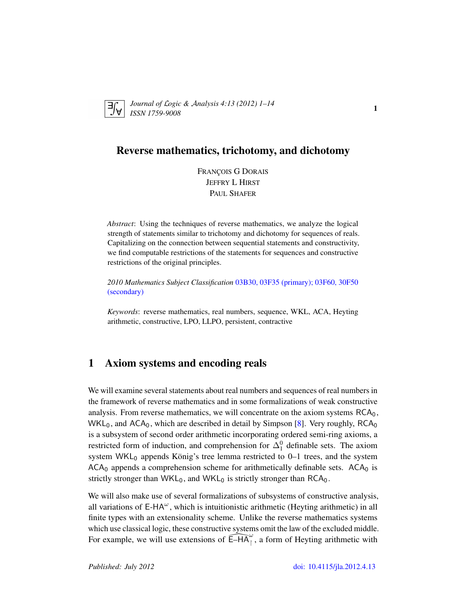

*Journal of* L*ogic &* A*nalysis 4:13 (2012) 1–14 ISSN 1759-9008* 115 12012)<sup>1</sup> 17

# Reverse mathematics, trichotomy, and dichotomy

FRANÇOIS G DORAIS JEFFRY L HIRST PAUL SHAFER

*Abstract*: Using the techniques of reverse mathematics, we analyze the logical strength of statements similar to trichotomy and dichotomy for sequences of reals. Capitalizing on the connection between sequential statements and constructivity, we find computable restrictions of the statements for sequences and constructive restrictions of the original principles.

*2010 Mathematics Subject Classification* [03B30, 03F35 \(primary\); 03F60, 30F50](http://www.ams.org/mathscinet/search/mscdoc.html?code=03B30, 03F35,(03F60, 30F50)) [\(secondary\)](http://www.ams.org/mathscinet/search/mscdoc.html?code=03B30, 03F35,(03F60, 30F50))

*Keywords*: reverse mathematics, real numbers, sequence, WKL, ACA, Heyting arithmetic, constructive, LPO, LLPO, persistent, contractive

# 1 Axiom systems and encoding reals

We will examine several statements about real numbers and sequences of real numbers in the framework of reverse mathematics and in some formalizations of weak constructive analysis. From reverse mathematics, we will concentrate on the axiom systems  $RCA<sub>0</sub>$ ,  $WKL_0$ , and  $ACA_0$ , which are described in detail by Simpson [\[8\]](#page-13-0). Very roughly,  $RCA_0$ is a subsystem of second order arithmetic incorporating ordered semi-ring axioms, a restricted form of induction, and comprehension for  $\Delta_1^0$  definable sets. The axiom system  $WKL_0$  appends König's tree lemma restricted to 0-1 trees, and the system  $ACA<sub>0</sub>$  appends a comprehension scheme for arithmetically definable sets.  $ACA<sub>0</sub>$  is strictly stronger than  $WKL_0$ , and  $WKL_0$  is strictly stronger than  $RCA_0$ .

We will also make use of several formalizations of subsystems of constructive analysis, all variations of  $E-HA^{\omega}$ , which is intuitionistic arithmetic (Heyting arithmetic) in all finite types with an extensionality scheme. Unlike the reverse mathematics systems which use classical logic, these constructive systems omit the law of the excluded middle. For example, we will use extensions of  $\widehat{\mathsf{E}-HA}^\omega$ , a form of Heyting arithmetic with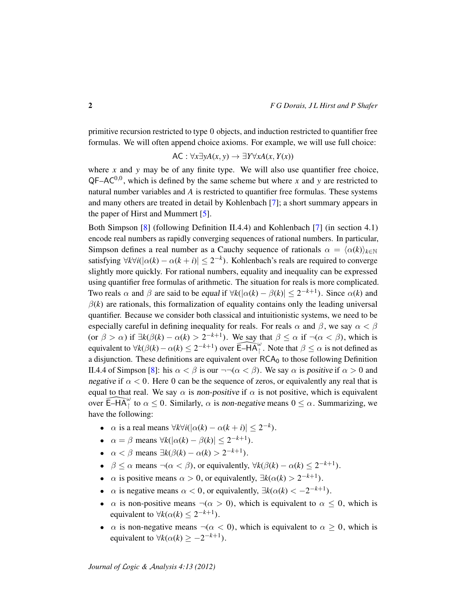primitive recursion restricted to type 0 objects, and induction restricted to quantifier free formulas. We will often append choice axioms. For example, we will use full choice:

$$
\mathsf{AC}: \forall x \exists y A(x, y) \rightarrow \exists Y \forall x A(x, Y(x))
$$

where  $x$  and  $y$  may be of any finite type. We will also use quantifier free choice,  $QF-AC^{0,0}$ , which is defined by the same scheme but where *x* and *y* are restricted to natural number variables and *A* is restricted to quantifier free formulas. These systems and many others are treated in detail by Kohlenbach [\[7\]](#page-13-1); a short summary appears in the paper of Hirst and Mummert [\[5\]](#page-13-2).

Both Simpson [\[8\]](#page-13-0) (following Definition II.4.4) and Kohlenbach [\[7\]](#page-13-1) (in section 4.1) encode real numbers as rapidly converging sequences of rational numbers. In particular, Simpson defines a real number as a Cauchy sequence of rationals  $\alpha = \langle \alpha(k) \rangle_{k \in \mathbb{N}}$ satisfying  $\forall k \forall i (|\alpha(k) - \alpha(k+i)| \leq 2^{-k})$ . Kohlenbach's reals are required to converge slightly more quickly. For rational numbers, equality and inequality can be expressed using quantifier free formulas of arithmetic. The situation for reals is more complicated. Two reals  $\alpha$  and  $\beta$  are said to be equal if  $\forall k(|\alpha(k) - \beta(k)| \leq 2^{-k+1})$ . Since  $\alpha(k)$  and  $\beta(k)$  are rationals, this formalization of equality contains only the leading universal quantifier. Because we consider both classical and intuitionistic systems, we need to be especially careful in defining inequality for reals. For reals  $\alpha$  and  $\beta$ , we say  $\alpha < \beta$ (or  $\beta > \alpha$ ) if  $\exists k(\beta(k) - \alpha(k) > 2^{-k+1})$ . We say that  $\beta \leq \alpha$  if  $\neg(\alpha < \beta)$ , which is equivalent to  $\forall k(\beta(k) - \alpha(k)) \leq 2^{-k+1}$  over  $\widehat{\mathsf{E}-HA}^{\omega}$ . Note that  $\beta \leq \alpha$  is not defined as a disjunction. These definitions are equivalent over  $RCA_0$  to those following Definition II.4.4 of Simpson [\[8\]](#page-13-0): his  $\alpha < \beta$  is our  $\neg\neg(\alpha < \beta)$ . We say  $\alpha$  is positive if  $\alpha > 0$  and negative if  $\alpha < 0$ . Here 0 can be the sequence of zeros, or equivalently any real that is equal to that real. We say  $\alpha$  is non-positive if  $\alpha$  is not positive, which is equivalent over  $\widehat{\mathsf{E}-H\mathsf{A}^{\omega}}$  to  $\alpha \leq 0$ . Similarly,  $\alpha$  is non-negative means  $0 \leq \alpha$ . Summarizing, we have the following:

- $\alpha$  is a real means  $\forall k \forall i (|\alpha(k) \alpha(k+i)| \leq 2^{-k}).$
- $\alpha = \beta$  means  $\forall k(|\alpha(k) \beta(k)| \leq 2^{-k+1}).$
- $\alpha < \beta$  means  $\exists k(\beta(k) \alpha(k) > 2^{-k+1})$ .
- $\beta \le \alpha$  means  $\neg(\alpha < \beta)$ , or equivalently,  $\forall k(\beta(k) \alpha(k) \le 2^{-k+1})$ .
- $\alpha$  is positive means  $\alpha > 0$ , or equivalently,  $\exists k(\alpha(k) > 2^{-k+1})$ .
- $\alpha$  is negative means  $\alpha < 0$ , or equivalently,  $\exists k(\alpha(k) < -2^{-k+1})$ .
- $\alpha$  is non-positive means  $\neg(\alpha > 0)$ , which is equivalent to  $\alpha \leq 0$ , which is equivalent to  $\forall k(\alpha(k) \leq 2^{-k+1})$ .
- $\alpha$  is non-negative means  $\neg(\alpha < 0)$ , which is equivalent to  $\alpha \geq 0$ , which is equivalent to  $\forall k(\alpha(k) \geq -2^{-k+1})$ .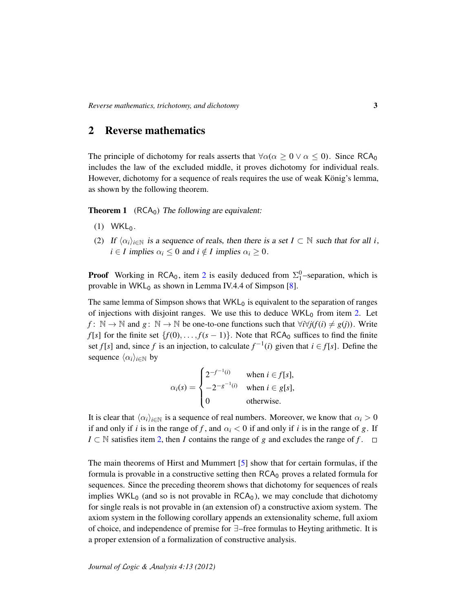### 2 Reverse mathematics

The principle of dichotomy for reals asserts that  $\forall \alpha (\alpha \geq 0 \lor \alpha \leq 0)$ . Since RCA<sub>0</sub> includes the law of the excluded middle, it proves dichotomy for individual reals. However, dichotomy for a sequence of reals requires the use of weak König's lemma, as shown by the following theorem.

<span id="page-2-1"></span>**Theorem 1** ( $RCA<sub>0</sub>$ ) The following are equivalent:

- $(1)$  WKL<sub>0</sub>.
- <span id="page-2-0"></span>(2) If  $\langle \alpha_i \rangle_{i \in \mathbb{N}}$  is a sequence of reals, then there is a set  $I \subset \mathbb{N}$  such that for all *i*,  $i \in I$  implies  $\alpha_i \leq 0$  and  $i \notin I$  implies  $\alpha_i \geq 0$ .

**Proof** Working in RCA<sub>0</sub>, item [2](#page-2-0) is easily deduced from  $\Sigma_1^0$ -separation, which is provable in WKL $_0$  as shown in Lemma IV.4.4 of Simpson [\[8\]](#page-13-0).

The same lemma of Simpson shows that  $WKL<sub>0</sub>$  is equivalent to the separation of ranges of injections with disjoint ranges. We use this to deduce  $WKL_0$  from item [2.](#page-2-0) Let *f* :  $\mathbb{N} \to \mathbb{N}$  and *g* :  $\mathbb{N} \to \mathbb{N}$  be one-to-one functions such that  $\forall i \forall j (f(i) \neq g(j))$ . Write *f*[*s*] for the finite set  $\{f(0), \ldots, f(s-1)\}$ . Note that RCA<sub>0</sub> suffices to find the finite set *f*[*s*] and, since *f* is an injection, to calculate  $f^{-1}(i)$  given that  $i \in f[s]$ . Define the sequence  $\langle \alpha_i \rangle_{i \in \mathbb{N}}$  by

$$
\alpha_i(s) = \begin{cases} 2^{-f^{-1}(i)} & \text{when } i \in f[s], \\ -2^{-g^{-1}(i)} & \text{when } i \in g[s], \\ 0 & \text{otherwise.} \end{cases}
$$

It is clear that  $\langle \alpha_i \rangle_{i \in \mathbb{N}}$  is a sequence of real numbers. Moreover, we know that  $\alpha_i > 0$ if and only if *i* is in the range of f, and  $\alpha_i < 0$  if and only if *i* is in the range of g. If *I* ⊂ N satisfies item [2,](#page-2-0) then *I* contains the range of *g* and excludes the range of *f* .  $\Box$ 

The main theorems of Hirst and Mummert [\[5\]](#page-13-2) show that for certain formulas, if the formula is provable in a constructive setting then  $RCA<sub>0</sub>$  proves a related formula for sequences. Since the preceding theorem shows that dichotomy for sequences of reals implies WKL<sub>0</sub> (and so is not provable in  $RCA<sub>0</sub>$ ), we may conclude that dichotomy for single reals is not provable in (an extension of) a constructive axiom system. The axiom system in the following corollary appends an extensionality scheme, full axiom of choice, and independence of premise for ∃–free formulas to Heyting arithmetic. It is a proper extension of a formalization of constructive analysis.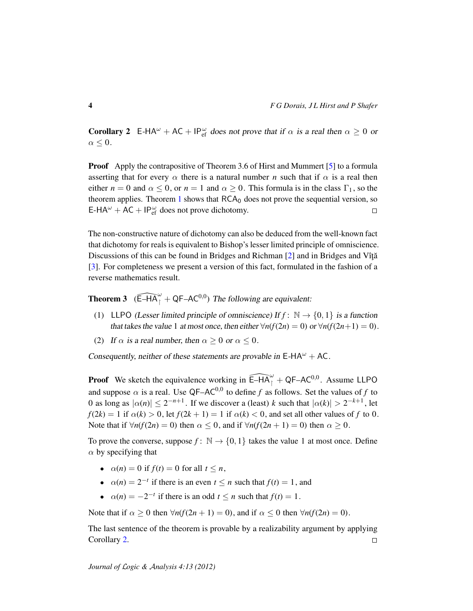<span id="page-3-0"></span>**Corollary 2** E-HA<sup> $\omega$ </sup> + AC + IP $_{\text{ef}}^{\omega}$  does not prove that if  $\alpha$  is a real then  $\alpha \ge 0$  or  $\alpha \leq 0$ .

**Proof** Apply the contrapositive of Theorem 3.6 of Hirst and Mummert [\[5\]](#page-13-2) to a formula asserting that for every  $\alpha$  there is a natural number *n* such that if  $\alpha$  is a real then either  $n = 0$  and  $\alpha \leq 0$ , or  $n = 1$  and  $\alpha \geq 0$ . This formula is in the class  $\Gamma_1$ , so the theorem applies. Theorem [1](#page-2-1) shows that  $RCA_0$  does not prove the sequential version, so E-HA<sup> $\omega$ </sup> + AC + IP $_{\text{ef}}^{\omega}$  does not prove dichotomy.  $\Box$ 

The non-constructive nature of dichotomy can also be deduced from the well-known fact that dichotomy for reals is equivalent to Bishop's lesser limited principle of omniscience. Discussions of this can be found in Bridges and Richman  $[2]$  and in Bridges and Vîță [\[3\]](#page-13-4). For completeness we present a version of this fact, formulated in the fashion of a reverse mathematics result.

<span id="page-3-1"></span>**Theorem 3**  $(\widehat{\mathsf{E}-H\mathsf{A}}_1^{\omega} + \mathsf{QF}-\mathsf{AC}^{0,0})$  The following are equivalent:

- (1) LLPO (Lesser limited principle of omniscience) If  $f: \mathbb{N} \to \{0, 1\}$  is a function that takes the value 1 at most once, then either  $\forall n(f(2n) = 0)$  or  $\forall n(f(2n+1) = 0)$ .
- (2) If  $\alpha$  is a real number, then  $\alpha \geq 0$  or  $\alpha \leq 0$ .

Consequently, neither of these statements are provable in  $E-HA^{\omega} + AC$ .

**Proof** We sketch the equivalence working in  $\widehat{E-HA}^{\omega}_{1}$  + QF–AC<sup>0,0</sup>. Assume LLPO and suppose  $\alpha$  is a real. Use QF–AC<sup>0,0</sup> to define f as follows. Set the values of f to 0 as long as  $|\alpha(n)| \leq 2^{-n+1}$ . If we discover a (least) *k* such that  $|\alpha(k)| > 2^{-k+1}$ , let  $f(2k) = 1$  if  $\alpha(k) > 0$ , let  $f(2k + 1) = 1$  if  $\alpha(k) < 0$ , and set all other values of *f* to 0. Note that if  $\forall n(f(2n) = 0)$  then  $\alpha < 0$ , and if  $\forall n(f(2n + 1) = 0)$  then  $\alpha > 0$ .

To prove the converse, suppose  $f: \mathbb{N} \to \{0, 1\}$  takes the value 1 at most once. Define  $\alpha$  by specifying that

- $\alpha(n) = 0$  if  $f(t) = 0$  for all  $t \leq n$ ,
- $\alpha(n) = 2^{-t}$  if there is an even  $t \leq n$  such that  $f(t) = 1$ , and
- $\alpha(n) = -2^{-t}$  if there is an odd  $t \leq n$  such that  $f(t) = 1$ .

Note that if  $\alpha \ge 0$  then  $\forall n(f(2n+1) = 0)$ , and if  $\alpha \le 0$  then  $\forall n(f(2n) = 0)$ .

The last sentence of the theorem is provable by a realizability argument by applying Corollary [2.](#page-3-0)  $\Box$ 

*Journal of* L*ogic &* A*nalysis 4:13 (2012)*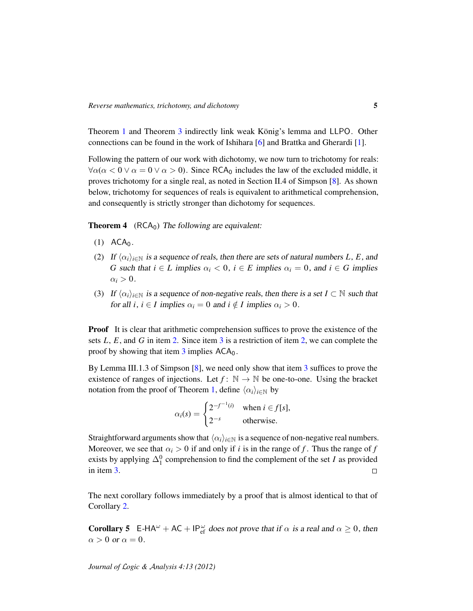Theorem [1](#page-2-1) and Theorem [3](#page-3-1) indirectly link weak König's lemma and LLPO. Other connections can be found in the work of Ishihara [\[6\]](#page-13-5) and Brattka and Gherardi [\[1\]](#page-13-6).

Following the pattern of our work with dichotomy, we now turn to trichotomy for reals:  $\forall \alpha(\alpha < 0 \vee \alpha = 0 \vee \alpha > 0)$ . Since RCA<sub>0</sub> includes the law of the excluded middle, it proves trichotomy for a single real, as noted in Section II.4 of Simpson [\[8\]](#page-13-0). As shown below, trichotomy for sequences of reals is equivalent to arithmetical comprehension, and consequently is strictly stronger than dichotomy for sequences.

<span id="page-4-3"></span>**Theorem 4** ( $RCA<sub>0</sub>$ ) The following are equivalent:

- $(1)$  ACA<sub>0</sub>.
- <span id="page-4-0"></span>(2) If  $\langle \alpha_i \rangle_{i \in \mathbb{N}}$  is a sequence of reals, then there are sets of natural numbers *L*, *E*, and *G* such that  $i \in L$  implies  $\alpha_i < 0$ ,  $i \in E$  implies  $\alpha_i = 0$ , and  $i \in G$  implies  $\alpha_i > 0$ .
- <span id="page-4-1"></span>(3) If  $\langle \alpha_i \rangle_{i \in \mathbb{N}}$  is a sequence of non-negative reals, then there is a set *I* ⊂ N such that for all *i*,  $i \in I$  implies  $\alpha_i = 0$  and  $i \notin I$  implies  $\alpha_i > 0$ .

**Proof** It is clear that arithmetic comprehension suffices to prove the existence of the sets *L*, *E*, and *G* in item [2.](#page-4-0) Since item [3](#page-4-1) is a restriction of item [2,](#page-4-0) we can complete the proof by showing that item  $3$  implies  $ACA_0$ .

By Lemma III.1.3 of Simpson [\[8\]](#page-13-0), we need only show that item [3](#page-4-1) suffices to prove the existence of ranges of injections. Let  $f: \mathbb{N} \to \mathbb{N}$  be one-to-one. Using the bracket notation from the proof of Theorem [1,](#page-2-1) define  $\langle \alpha_i \rangle_{i \in \mathbb{N}}$  by

$$
\alpha_i(s) = \begin{cases} 2^{-f^{-1}(i)} & \text{when } i \in f[s], \\ 2^{-s} & \text{otherwise.} \end{cases}
$$

Straightforward arguments show that  $\langle \alpha_i \rangle_{i \in \mathbb{N}}$  is a sequence of non-negative real numbers. Moreover, we see that  $\alpha_i > 0$  if and only if *i* is in the range of *f*. Thus the range of *f* exists by applying  $\Delta_1^0$  comprehension to find the complement of the set *I* as provided in item [3.](#page-4-1)  $\Box$ 

The next corollary follows immediately by a proof that is almost identical to that of Corollary [2.](#page-3-0)

<span id="page-4-2"></span>**Corollary 5** E-HA<sup> $\omega$ </sup> + AC + IP $_{\text{ef}}^{\omega}$  does not prove that if  $\alpha$  is a real and  $\alpha \ge 0$ , then  $\alpha > 0$  or  $\alpha = 0$ .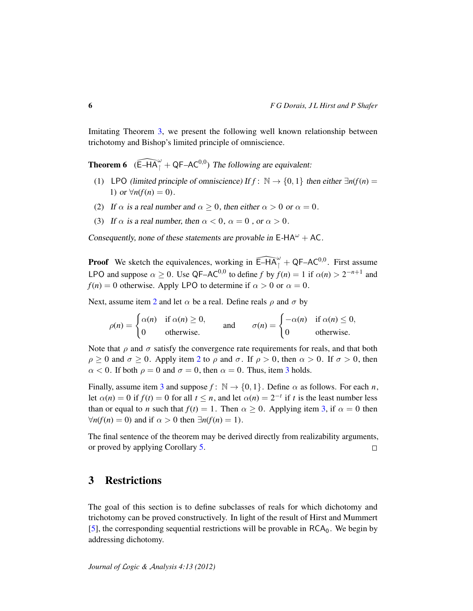Imitating Theorem [3,](#page-3-1) we present the following well known relationship between trichotomy and Bishop's limited principle of omniscience.

**Theorem 6** ( $\widehat{E-HA}^{\omega}_{1} + QF-AC^{0,0}$ ) The following are equivalent:

- (1) LPO (limited principle of omniscience) If  $f: \mathbb{N} \to \{0, 1\}$  then either  $\exists n(f(n) =$ 1) or  $\forall n(f(n) = 0)$ .
- <span id="page-5-0"></span>(2) If  $\alpha$  is a real number and  $\alpha \geq 0$ , then either  $\alpha > 0$  or  $\alpha = 0$ .
- <span id="page-5-1"></span>(3) If  $\alpha$  is a real number, then  $\alpha < 0$ ,  $\alpha = 0$ , or  $\alpha > 0$ .

Consequently, none of these statements are provable in  $E-HA^{\omega} + AC$ .

**Proof** We sketch the equivalences, working in  $\widehat{E}-HA_{1}^{\omega} + QF-AC^{0,0}$ . First assume LPO and suppose  $\alpha \ge 0$ . Use QF–AC<sup>0,0</sup> to define *f* by  $f(n) = 1$  if  $\alpha(n) > 2^{-n+1}$  and  $f(n) = 0$  otherwise. Apply LPO to determine if  $\alpha > 0$  or  $\alpha = 0$ .

Next, assume item [2](#page-5-0) and let  $\alpha$  be a real. Define reals  $\rho$  and  $\sigma$  by

$$
\rho(n) = \begin{cases} \alpha(n) & \text{if } \alpha(n) \ge 0, \\ 0 & \text{otherwise.} \end{cases} \quad \text{and} \quad \sigma(n) = \begin{cases} -\alpha(n) & \text{if } \alpha(n) \le 0, \\ 0 & \text{otherwise.} \end{cases}
$$

Note that  $\rho$  and  $\sigma$  satisfy the convergence rate requirements for reals, and that both  $\rho \ge 0$  and  $\sigma \ge 0$ . Apply item [2](#page-5-0) to  $\rho$  and  $\sigma$ . If  $\rho > 0$ , then  $\alpha > 0$ . If  $\sigma > 0$ , then  $\alpha$  < 0. If both  $\rho = 0$  and  $\sigma = 0$ , then  $\alpha = 0$ . Thus, item [3](#page-5-1) holds.

Finally, assume item [3](#page-5-1) and suppose  $f: \mathbb{N} \to \{0, 1\}$ . Define  $\alpha$  as follows. For each *n*, let  $\alpha(n) = 0$  if  $f(t) = 0$  for all  $t \leq n$ , and let  $\alpha(n) = 2^{-t}$  if  $t$  is the least number less than or equal to *n* such that  $f(t) = 1$ . Then  $\alpha > 0$ . Applying item [3,](#page-5-1) if  $\alpha = 0$  then  $∀n(f(n) = 0)$  and if  $\alpha > 0$  then  $∃n(f(n) = 1)$ .

The final sentence of the theorem may be derived directly from realizability arguments, or proved by applying Corollary [5.](#page-4-2)  $\Box$ 

#### 3 Restrictions

The goal of this section is to define subclasses of reals for which dichotomy and trichotomy can be proved constructively. In light of the result of Hirst and Mummert [\[5\]](#page-13-2), the corresponding sequential restrictions will be provable in  $RCA<sub>0</sub>$ . We begin by addressing dichotomy.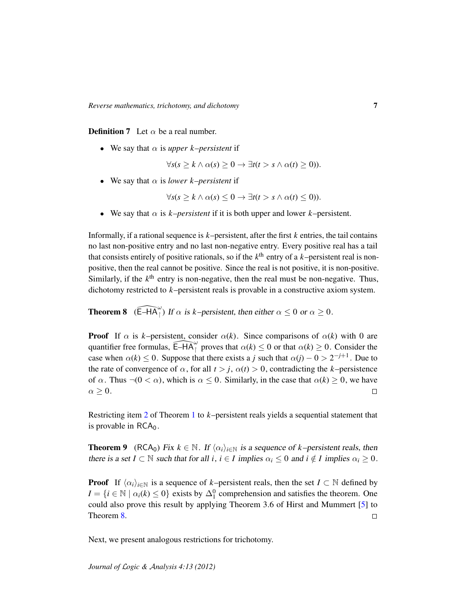**Definition 7** Let  $\alpha$  be a real number.

• We say that  $\alpha$  is *upper k–persistent* if

 $\forall s(s > k \land \alpha(s) > 0 \rightarrow \exists t(t > s \land \alpha(t) > 0)).$ 

• We say that  $\alpha$  is *lower k–persistent* if

 $\forall s(s > k \land \alpha(s) \leq 0 \rightarrow \exists t(t > s \land \alpha(t) \leq 0)).$ 

• We say that  $\alpha$  is *k–persistent* if it is both upper and lower *k*–persistent.

Informally, if a rational sequence is  $k$ –persistent, after the first  $k$  entries, the tail contains no last non-positive entry and no last non-negative entry. Every positive real has a tail that consists entirely of positive rationals, so if the  $k<sup>th</sup>$  entry of a  $k$ –persistent real is nonpositive, then the real cannot be positive. Since the real is not positive, it is non-positive. Similarly, if the  $k<sup>th</sup>$  entry is non-negative, then the real must be non-negative. Thus, dichotomy restricted to *k*–persistent reals is provable in a constructive axiom system.

<span id="page-6-0"></span>**Theorem 8** ( $\widehat{E-HA}_{\uparrow}^{\omega}$ ) If  $\alpha$  is *k*–persistent, then either  $\alpha \leq 0$  or  $\alpha \geq 0$ .

**Proof** If  $\alpha$  is *k*–persistent, consider  $\alpha(k)$ . Since comparisons of  $\alpha(k)$  with 0 are quantifier free formulas,  $\widehat{\mathsf{E}-HA}^{\omega}$  proves that  $\alpha(k) \leq 0$  or that  $\alpha(k) \geq 0$ . Consider the case when  $\alpha(k) \leq 0$ . Suppose that there exists a *j* such that  $\alpha(j) - 0 > 2^{-j+1}$ . Due to the rate of convergence of  $\alpha$ , for all  $t > j$ ,  $\alpha(t) > 0$ , contradicting the *k*–persistence of  $\alpha$ . Thus  $\neg(0 < \alpha)$ , which is  $\alpha \leq 0$ . Similarly, in the case that  $\alpha(k) \geq 0$ , we have  $\alpha \geq 0$ .  $\Box$ 

Restricting item [2](#page-2-0) of Theorem [1](#page-2-1) to *k*–persistent reals yields a sequential statement that is provable in  $RCA<sub>0</sub>$ .

<span id="page-6-1"></span>**Theorem 9** (RCA<sub>0</sub>) Fix  $k \in \mathbb{N}$ . If  $\langle \alpha_i \rangle_{i \in \mathbb{N}}$  is a sequence of *k*–persistent reals, then there is a set  $I \subset \mathbb{N}$  such that for all  $i, i \in I$  implies  $\alpha_i \leq 0$  and  $i \notin I$  implies  $\alpha_i \geq 0$ .

**Proof** If  $\langle \alpha_i \rangle_{i \in \mathbb{N}}$  is a sequence of *k*–persistent reals, then the set *I* ⊂ N defined by  $I = \{i \in \mathbb{N} \mid \alpha_i(k) \leq 0\}$  exists by  $\Delta_1^0$  comprehension and satisfies the theorem. One could also prove this result by applying Theorem 3.6 of Hirst and Mummert [\[5\]](#page-13-2) to Theorem [8.](#page-6-0)  $\Box$ 

Next, we present analogous restrictions for trichotomy.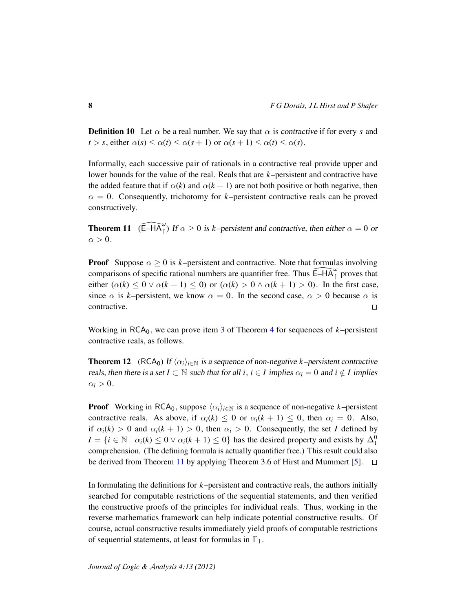**Definition 10** Let  $\alpha$  be a real number. We say that  $\alpha$  is contractive if for every *s* and  $t > s$ , either  $\alpha(s) \leq \alpha(t) \leq \alpha(s+1)$  or  $\alpha(s+1) \leq \alpha(t) \leq \alpha(s)$ .

Informally, each successive pair of rationals in a contractive real provide upper and lower bounds for the value of the real. Reals that are *k*–persistent and contractive have the added feature that if  $\alpha(k)$  and  $\alpha(k+1)$  are not both positive or both negative, then  $\alpha = 0$ . Consequently, trichotomy for *k*–persistent contractive reals can be proved constructively.

<span id="page-7-0"></span>**Theorem 11** ( $\widehat{E-HA_{\perp}^{\omega}}$ ) If  $\alpha \ge 0$  is *k*–persistent and contractive, then either  $\alpha = 0$  or  $\alpha > 0$ .

**Proof** Suppose  $\alpha \geq 0$  is *k*–persistent and contractive. Note that formulas involving comparisons of specific rational numbers are quantifier free. Thus  $\widehat{E-HA}^{\omega}_{\uparrow}$  proves that either  $(\alpha(k) \leq 0 \vee \alpha(k+1) \leq 0)$  or  $(\alpha(k) > 0 \wedge \alpha(k+1) > 0)$ . In the first case, since  $\alpha$  is *k*–persistent, we know  $\alpha = 0$ . In the second case,  $\alpha > 0$  because  $\alpha$  is contractive.  $\Box$ 

Working in  $RCA_0$ , we can prove item [3](#page-4-1) of Theorem [4](#page-4-3) for sequences of  $k$ –persistent contractive reals, as follows.

**Theorem 12** (RCA<sub>0</sub>) If  $\langle \alpha_i \rangle_{i \in \mathbb{N}}$  is a sequence of non-negative *k*–persistent contractive reals, then there is a set  $I \subset \mathbb{N}$  such that for all *i*,  $i \in I$  implies  $\alpha_i = 0$  and  $i \notin I$  implies  $\alpha_i > 0$ .

**Proof** Working in RCA<sub>0</sub>, suppose  $\langle \alpha_i \rangle_{i \in \mathbb{N}}$  is a sequence of non-negative *k*–persistent contractive reals. As above, if  $\alpha_i(k) \leq 0$  or  $\alpha_i(k+1) \leq 0$ , then  $\alpha_i = 0$ . Also, if  $\alpha_i(k) > 0$  and  $\alpha_i(k+1) > 0$ , then  $\alpha_i > 0$ . Consequently, the set *I* defined by  $I = \{i \in \mathbb{N} \mid \alpha_i(k) \leq 0 \vee \alpha_i(k+1) \leq 0\}$  has the desired property and exists by  $\Delta_1^0$ comprehension. (The defining formula is actually quantifier free.) This result could also be derived from Theorem [11](#page-7-0) by applying Theorem 3.6 of Hirst and Mummert [\[5\]](#page-13-2).  $\Box$ 

In formulating the definitions for *k*–persistent and contractive reals, the authors initially searched for computable restrictions of the sequential statements, and then verified the constructive proofs of the principles for individual reals. Thus, working in the reverse mathematics framework can help indicate potential constructive results. Of course, actual constructive results immediately yield proofs of computable restrictions of sequential statements, at least for formulas in  $\Gamma_1$ .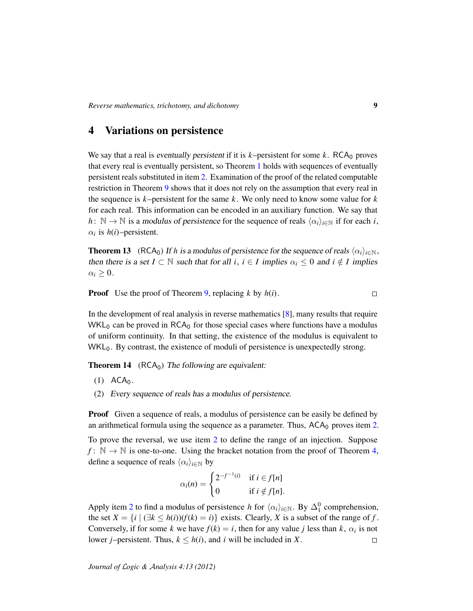### 4 Variations on persistence

We say that a real is eventually persistent if it is  $k$ –persistent for some  $k$ . RCA<sub>0</sub> proves that every real is eventually persistent, so Theorem [1](#page-2-1) holds with sequences of eventually persistent reals substituted in item [2.](#page-2-0) Examination of the proof of the related computable restriction in Theorem [9](#page-6-1) shows that it does not rely on the assumption that every real in the sequence is *k*–persistent for the same *k*. We only need to know some value for *k* for each real. This information can be encoded in an auxiliary function. We say that *h* :  $\mathbb{N} \to \mathbb{N}$  is a modulus of persistence for the sequence of reals  $\langle \alpha_i \rangle_{i \in \mathbb{N}}$  if for each *i*,  $\alpha_i$  is  $h(i)$ –persistent.

<span id="page-8-1"></span>**Theorem 13** (RCA<sub>0</sub>) If *h* is a modulus of persistence for the sequence of reals  $\langle \alpha_i \rangle_{i \in \mathbb{N}}$ , then there is a set  $I \subset \mathbb{N}$  such that for all *i*,  $i \in I$  implies  $\alpha_i \leq 0$  and  $i \notin I$  implies  $\alpha_i \geq 0$ .

Proof Use the proof of Theorem [9,](#page-6-1) replacing *k* by *h*(*i*).

In the development of real analysis in reverse mathematics  $[8]$ , many results that require  $WKL_0$  can be proved in RCA<sub>0</sub> for those special cases where functions have a modulus of uniform continuity. In that setting, the existence of the modulus is equivalent to  $WKL_0$ . By contrast, the existence of moduli of persistence is unexpectedly strong.

**Theorem 14** ( $RCA<sub>0</sub>$ ) The following are equivalent:

- $(1)$  ACA<sub>0</sub>.
- <span id="page-8-0"></span>(2) Every sequence of reals has a modulus of persistence.

**Proof** Given a sequence of reals, a modulus of persistence can be easily be defined by an arithmetical formula using the sequence as a parameter. Thus,  $ACA_0$  proves item [2.](#page-8-0)

To prove the reversal, we use item [2](#page-8-0) to define the range of an injection. Suppose  $f: \mathbb{N} \to \mathbb{N}$  is one-to-one. Using the bracket notation from the proof of Theorem [4,](#page-4-3) define a sequence of reals  $\langle \alpha_i \rangle_{i \in \mathbb{N}}$  by

$$
\alpha_i(n) = \begin{cases} 2^{-f^{-1}(i)} & \text{if } i \in f[n] \\ 0 & \text{if } i \notin f[n]. \end{cases}
$$

Apply item [2](#page-8-0) to find a modulus of persistence *h* for  $\langle \alpha_i \rangle_{i \in \mathbb{N}}$ . By  $\Delta_1^0$  comprehension, the set  $X = \{i \mid (\exists k \leq h(i))(f(k) = i)\}$  exists. Clearly, X is a subset of the range of f. Conversely, if for some *k* we have  $f(k) = i$ , then for any value *j* less than *k*,  $\alpha_i$  is not lower *j*–persistent. Thus,  $k \leq h(i)$ , and *i* will be included in *X*.  $\Box$ 

 $\Box$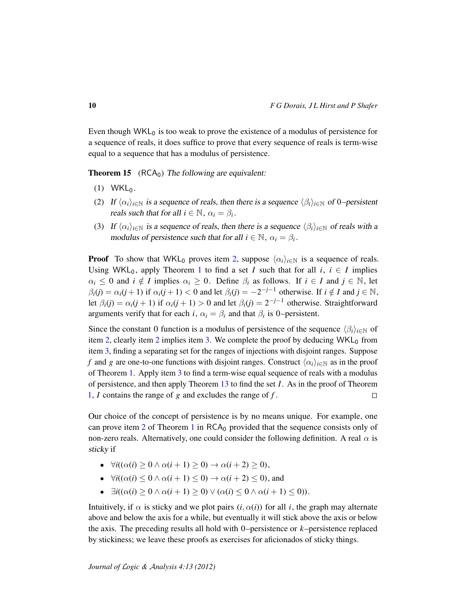Even though  $WKL_0$  is too weak to prove the existence of a modulus of persistence for a sequence of reals, it does suffice to prove that every sequence of reals is term-wise equal to a sequence that has a modulus of persistence.

<span id="page-9-2"></span>**Theorem 15** ( $RCA<sub>0</sub>$ ) The following are equivalent:

- $(1)$  WKL<sub>0</sub>.
- <span id="page-9-0"></span>(2) If  $\langle \alpha_i \rangle_{i \in \mathbb{N}}$  is a sequence of reals, then there is a sequence  $\langle \beta_i \rangle_{i \in \mathbb{N}}$  of 0–persistent reals such that for all  $i \in \mathbb{N}$ ,  $\alpha_i = \beta_i$ .
- <span id="page-9-1"></span>(3) If  $\langle \alpha_i \rangle_{i \in \mathbb{N}}$  is a sequence of reals, then there is a sequence  $\langle \beta_i \rangle_{i \in \mathbb{N}}$  of reals with a modulus of persistence such that for all  $i \in \mathbb{N}$ ,  $\alpha_i = \beta_i$ .

**Proof** To show that WKL<sub>0</sub> proves item [2,](#page-9-0) suppose  $\langle \alpha_i \rangle_{i \in \mathbb{N}}$  is a sequence of reals. Using WKL<sub>0</sub>, apply Theorem [1](#page-2-1) to find a set *I* such that for all  $i, i \in I$  implies  $\alpha_i \leq 0$  and  $i \notin I$  implies  $\alpha_i \geq 0$ . Define  $\beta_i$  as follows. If  $i \in I$  and  $j \in \mathbb{N}$ , let  $\beta_i(j) = \alpha_i(j+1)$  if  $\alpha_i(j+1) < 0$  and let  $\beta_i(j) = -2^{-j-1}$  otherwise. If  $i \notin I$  and  $j \in \mathbb{N}$ , let  $\beta_i(j) = \alpha_i(j+1)$  if  $\alpha_i(j+1) > 0$  and let  $\beta_i(j) = 2^{-j-1}$  otherwise. Straightforward arguments verify that for each *i*,  $\alpha_i = \beta_i$  and that  $\beta_i$  is 0–persistent.

Since the constant 0 function is a modulus of persistence of the sequence  $\langle \beta_i \rangle_{i \in \mathbb{N}}$  of item [2,](#page-9-0) clearly item [2](#page-9-0) implies item [3.](#page-9-1) We complete the proof by deducing  $WKL_0$  from item [3,](#page-9-1) finding a separating set for the ranges of injections with disjoint ranges. Suppose *f* and *g* are one-to-one functions with disjoint ranges. Construct  $\langle \alpha_i \rangle_{i \in \mathbb{N}}$  as in the proof of Theorem [1.](#page-2-1) Apply item [3](#page-9-1) to find a term-wise equal sequence of reals with a modulus of persistence, and then apply Theorem [13](#page-8-1) to find the set *I*. As in the proof of Theorem [1,](#page-2-1) *I* contains the range of *g* and excludes the range of *f* .  $\Box$ 

Our choice of the concept of persistence is by no means unique. For example, one can prove item [2](#page-2-0) of Theorem [1](#page-2-1) in  $RCA_0$  provided that the sequence consists only of non-zero reals. Alternatively, one could consider the following definition. A real  $\alpha$  is sticky if

- $\bullet$  ∀*i*(( $\alpha$ (*i*) ≥ 0 ∧  $\alpha$ (*i* + 1) ≥ 0) →  $\alpha$ (*i* + 2) ≥ 0),
- $\forall i((\alpha(i) \leq 0 \land \alpha(i+1) \leq 0) \rightarrow \alpha(i+2) \leq 0)$ , and
- $\bullet$  ∃*i*(( $\alpha$ (*i*) > 0 ∧  $\alpha$ (*i* + 1) > 0) ∨ ( $\alpha$ (*i*) < 0 ∧  $\alpha$ (*i* + 1) < 0)).

Intuitively, if  $\alpha$  is sticky and we plot pairs  $(i, \alpha(i))$  for all *i*, the graph may alternate above and below the axis for a while, but eventually it will stick above the axis or below the axis. The preceding results all hold with 0–persistence or *k*–persistence replaced by stickiness; we leave these proofs as exercises for aficionados of sticky things.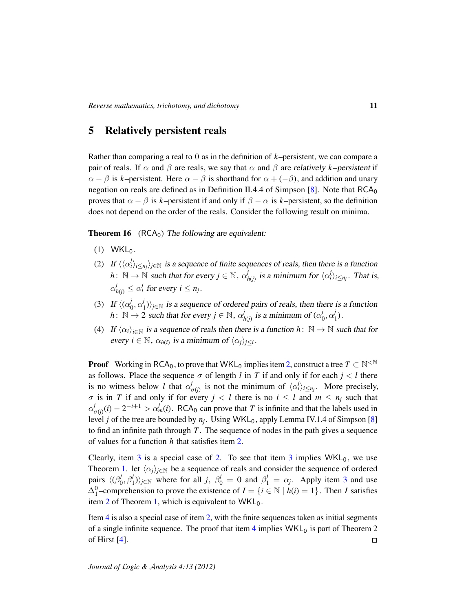# 5 Relatively persistent reals

Rather than comparing a real to 0 as in the definition of *k*–persistent, we can compare a pair of reals. If  $\alpha$  and  $\beta$  are reals, we say that  $\alpha$  and  $\beta$  are relatively *k*–persistent if  $\alpha - \beta$  is *k*–persistent. Here  $\alpha - \beta$  is shorthand for  $\alpha + (-\beta)$ , and addition and unary negation on reals are defined as in Definition II.4.4 of Simpson [\[8\]](#page-13-0). Note that  $RCA<sub>0</sub>$ proves that  $\alpha - \beta$  is *k*–persistent if and only if  $\beta - \alpha$  is *k*–persistent, so the definition does not depend on the order of the reals. Consider the following result on minima.

<span id="page-10-3"></span>**Theorem 16** ( $RCA<sub>0</sub>$ ) The following are equivalent:

- $(1)$  WKL<sub>0</sub>.
- <span id="page-10-0"></span>(2) If  $\langle\langle \alpha_i^j\rangle_{i\leq n_j}\rangle_{j\in\mathbb{N}}$  is a sequence of finite sequences of reals, then there is a function  $h: \ \mathbb{N} \to \mathbb{N}$  such that for every  $j \in \mathbb{N}$ ,  $\alpha_j^j$ *i*<sub>*h*(*j*)</sub> is a minimum for  $\langle \alpha_i^j \rangle_{i \leq n_j}$ . That is,  $\alpha_{h(j)}^j \leq \alpha_i^j$  for every  $i \leq n_j$ .
- <span id="page-10-1"></span>(3) If  $\langle (\alpha_0^j) \rangle$  $j_0^j, \alpha_1^j$  $\binom{1}{1}$ <sub>*j*∈N</sub> is a sequence of ordered pairs of reals, then there is a function  $h: \mathbb{N} \to 2$  such that for every  $j \in \mathbb{N}$ ,  $\alpha_i^j$  $\frac{d}{d h(j)}$  is a minimum of ( $\alpha_0^j$  $j_0, \alpha_1^j$  $'_{1}$ .
- <span id="page-10-2"></span>(4) If  $\langle \alpha_i \rangle_{i \in \mathbb{N}}$  is a sequence of reals then there is a function *h* :  $\mathbb{N} \to \mathbb{N}$  such that for every  $i \in \mathbb{N}$ ,  $\alpha_{h(i)}$  is a minimum of  $\langle \alpha_j \rangle_{j \leq i}$ .

**Proof** Working in RCA<sub>0</sub>, to prove that WKL<sub>0</sub> implies item [2,](#page-10-0) construct a tree  $T \subset \mathbb{N}^{\leq \mathbb{N}}$ as follows. Place the sequence  $\sigma$  of length *l* in *T* if and only if for each  $j < l$  there is no witness below *l* that  $\alpha_j^j$  $\int_{\sigma(j)}^{j}$  is not the minimum of  $\langle \alpha_i^j \rangle_{i \leq n_j}$ . More precisely,  $\sigma$  is in *T* if and only if for every  $j < l$  there is no  $i \leq l$  and  $m \leq n_j$  such that α *j*  $\sigma(j)(i) - 2^{-i+1} > \alpha_m^j(i)$ . RCA<sub>0</sub> can prove that *T* is infinite and that the labels used in level *j* of the tree are bounded by  $n_j$ . Using WKL<sub>0</sub>, apply Lemma IV.1.4 of Simpson [\[8\]](#page-13-0) to find an infinite path through *T* . The sequence of nodes in the path gives a sequence of values for a function *h* that satisfies item [2.](#page-10-0)

Clearly, item [3](#page-10-1) is a special case of [2.](#page-10-0) To see that item 3 implies  $WKL_0$ , we use Theorem [1.](#page-2-1) let  $\langle \alpha_j \rangle_{j \in \mathbb{N}}$  be a sequence of reals and consider the sequence of ordered pairs  $\langle (\beta_0^j)$  $(\beta_0^j, \beta_1^j)_{j \in \mathbb{N}}$  where for all *j*,  $\beta_0^j = 0$  and  $\beta_1^j = \alpha_j$ . Apply item [3](#page-10-1) and use  $\Delta_1^0$ –comprehension to prove the existence of  $I = \{i \in \mathbb{N} \mid h(i) = 1\}$ . Then *I* satisfies item [2](#page-2-0) of Theorem [1,](#page-2-1) which is equivalent to  $WKL_0$ .

Item [4](#page-10-2) is also a special case of item [2,](#page-10-0) with the finite sequences taken as initial segments of a single infinite sequence. The proof that item  $4$  implies WKL<sub>0</sub> is part of Theorem 2 of Hirst [\[4\]](#page-13-7).  $\Box$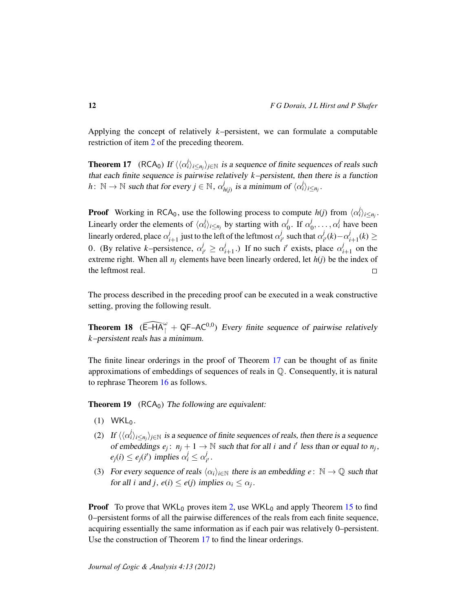Applying the concept of relatively *k*–persistent, we can formulate a computable restriction of item [2](#page-10-0) of the preceding theorem.

<span id="page-11-0"></span>**Theorem 17** (RCA<sub>0</sub>) If  $\langle \langle \alpha_i^j \rangle_{i \le n_j} \rangle_{j \in \mathbb{N}}$  is a sequence of finite sequences of reals such that each finite sequence is pairwise relatively *k*–persistent, then there is a function  $h: \ \mathbb{N} \to \mathbb{N}$  such that for every  $j \in \mathbb{N}$ ,  $\alpha_l^j$  $\int_{h(j)}^{j}$  is a minimum of  $\langle \alpha_i^j \rangle_{i \leq n_j}$ .

**Proof** Working in RCA<sub>0</sub>, use the following process to compute  $h(j)$  from  $\langle \alpha_i^j \rangle_{i \leq n_j}$ . Linearly order the elements of  $\langle \alpha_i^j \rangle_{i \leq n_j}$  by starting with  $\alpha_i^j$  $j_0^j$ . If  $\alpha_0^j$  $\alpha_0^j, \ldots, \alpha_i^j$  have been linearly ordered, place  $\alpha_i^j$  $\frac{d}{dt}$  just to the left of the leftmost  $\alpha_i^j$  $\frac{d}{dt}$  such that  $\alpha_i^j$  $\frac{d}{i'}(k) - \alpha_i^j$  $i+1$ <sup>(k)</sup> ≥ 0. (By relative *k*-persistence,  $\alpha_i^j$  $\alpha_i^j \geq \alpha_i^j$  $i_{i+1}$ .) If no such *i*' exists, place  $\alpha_i^j$  $i_{i+1}$  on the extreme right. When all  $n_i$  elements have been linearly ordered, let  $h(j)$  be the index of the leftmost real.  $\Box$ 

The process described in the preceding proof can be executed in a weak constructive setting, proving the following result.

<span id="page-11-3"></span>**Theorem 18** ( $\widehat{E}-HA^{\omega}_{1} + QF-AC^{0,0}$ ) Every finite sequence of pairwise relatively *k*–persistent reals has a minimum.

The finite linear orderings in the proof of Theorem [17](#page-11-0) can be thought of as finite approximations of embeddings of sequences of reals in Q. Consequently, it is natural to rephrase Theorem [16](#page-10-3) as follows.

<span id="page-11-4"></span>**Theorem 19** ( $RCA<sub>0</sub>$ ) The following are equivalent:

- $(1)$  WKL<sub>0</sub>.
- <span id="page-11-1"></span>(2) If  $\langle\langle \alpha_i^j\rangle_{i\leq n_j}\rangle_{j\in\mathbb{N}}$  is a sequence of finite sequences of reals, then there is a sequence of embeddings  $e_j$ :  $n_j + 1 \rightarrow \mathbb{N}$  such that for all *i* and *i'* less than or equal to  $n_j$ ,  $e_j(i) \leq e_j(i')$  implies  $\alpha_i^j \leq \alpha_i^j$ ,<br>i' ·
- <span id="page-11-2"></span>(3) For every sequence of reals  $\langle \alpha_i \rangle_{i \in \mathbb{N}}$  there is an embedding  $e : \mathbb{N} \to \mathbb{Q}$  such that for all *i* and *j*,  $e(i) \leq e(j)$  implies  $\alpha_i \leq \alpha_j$ .

**Proof** To prove that WKL<sub>0</sub> proves item [2,](#page-11-1) use WKL<sub>0</sub> and apply Theorem [15](#page-9-2) to find 0–persistent forms of all the pairwise differences of the reals from each finite sequence, acquiring essentially the same information as if each pair was relatively 0–persistent. Use the construction of Theorem [17](#page-11-0) to find the linear orderings.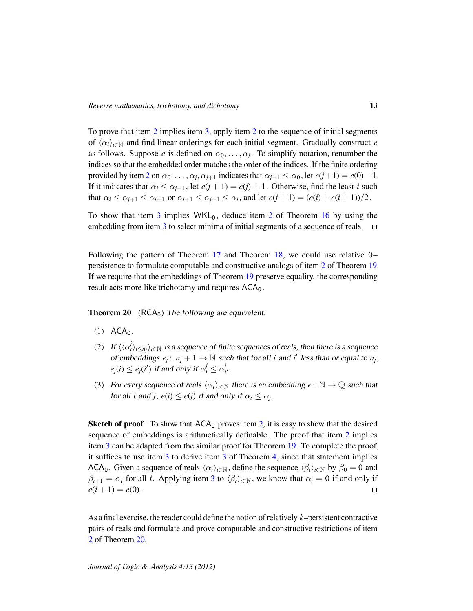To prove that item [2](#page-11-1) implies item [3,](#page-11-2) apply item [2](#page-11-1) to the sequence of initial segments of  $\langle \alpha_i \rangle_{i \in \mathbb{N}}$  and find linear orderings for each initial segment. Gradually construct *e* as follows. Suppose *e* is defined on  $\alpha_0, \ldots, \alpha_j$ . To simplify notation, renumber the indices so that the embedded order matches the order of the indices. If the finite ordering provided by item [2](#page-11-1) on  $\alpha_0, \ldots, \alpha_j, \alpha_{j+1}$  indicates that  $\alpha_{j+1} \leq \alpha_0$ , let  $e(j+1) = e(0) - 1$ . If it indicates that  $\alpha_j \leq \alpha_{j+1}$ , let  $e(j + 1) = e(j) + 1$ . Otherwise, find the least *i* such that  $\alpha_i \leq \alpha_{j+1} \leq \alpha_{i+1}$  or  $\alpha_{i+1} \leq \alpha_{j+1} \leq \alpha_i$ , and let  $e(j+1) = (e(i) + e(i+1))/2$ .

To show that item  $3$  implies WKL<sub>0</sub>, deduce item  $2$  of Theorem [16](#page-10-3) by using the embedding from item [3](#page-11-2) to select minima of initial segments of a sequence of reals.  $\Box$ 

Following the pattern of Theorem [17](#page-11-0) and Theorem [18,](#page-11-3) we could use relative 0– persistence to formulate computable and constructive analogs of item [2](#page-11-1) of Theorem [19.](#page-11-4) If we require that the embeddings of Theorem [19](#page-11-4) preserve equality, the corresponding result acts more like trichotomy and requires  $ACA_0$ .

<span id="page-12-2"></span>**Theorem 20** ( $RCA<sub>0</sub>$ ) The following are equivalent:

- $(1)$  ACA<sub>0</sub>.
- <span id="page-12-0"></span>(2) If  $\langle\langle \alpha_i^j\rangle_{i\leq n_j}\rangle_{j\in\mathbb{N}}$  is a sequence of finite sequences of reals, then there is a sequence of embeddings  $e_j$ :  $n_j + 1 \rightarrow \mathbb{N}$  such that for all *i* and *i'* less than or equal to  $n_j$ ,  $e_j(i) \leq e_j(i')$  if and only if  $\alpha_i^j \leq \alpha_i^j$ *i* 0 .
- <span id="page-12-1"></span>(3) For every sequence of reals  $\langle \alpha_i \rangle_{i \in \mathbb{N}}$  there is an embedding  $e : \mathbb{N} \to \mathbb{Q}$  such that for all *i* and *j*,  $e(i) \leq e(j)$  if and only if  $\alpha_i \leq \alpha_j$ .

**Sketch of proof** To show that  $ACA_0$  proves item [2,](#page-12-0) it is easy to show that the desired sequence of embeddings is arithmetically definable. The proof that item [2](#page-12-0) implies item [3](#page-12-1) can be adapted from the similar proof for Theorem [19.](#page-11-4) To complete the proof, it suffices to use item [3](#page-12-1) to derive item [3](#page-4-1) of Theorem [4,](#page-4-3) since that statement implies ACA<sub>0</sub>. Given a sequence of reals  $\langle \alpha_i \rangle_{i \in \mathbb{N}}$ , define the sequence  $\langle \beta_i \rangle_{i \in \mathbb{N}}$  by  $\beta_0 = 0$  and  $\beta_{i+1} = \alpha_i$  for all *i*. Applying item [3](#page-12-1) to  $\langle \beta_i \rangle_{i \in \mathbb{N}}$ , we know that  $\alpha_i = 0$  if and only if  $e(i + 1) = e(0)$ .  $\Box$ 

As a final exercise, the reader could define the notion of relatively *k*–persistent contractive pairs of reals and formulate and prove computable and constructive restrictions of item [2](#page-12-0) of Theorem [20.](#page-12-2)